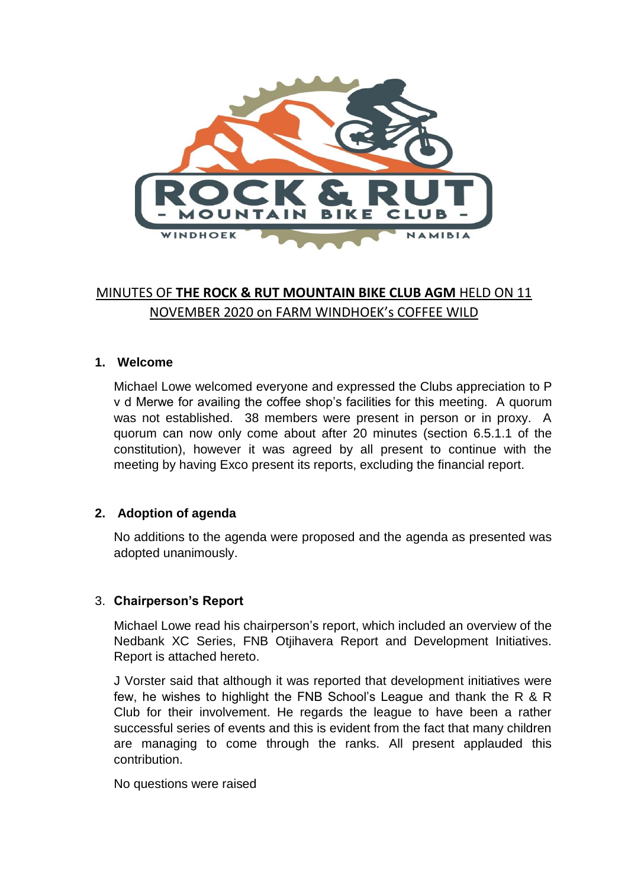

# MINUTES OF **THE ROCK & RUT MOUNTAIN BIKE CLUB AGM** HELD ON 11 NOVEMBER 2020 on FARM WINDHOEK's COFFEE WILD

#### **1. Welcome**

Michael Lowe welcomed everyone and expressed the Clubs appreciation to P v d Merwe for availing the coffee shop's facilities for this meeting. A quorum was not established. 38 members were present in person or in proxy. A quorum can now only come about after 20 minutes (section 6.5.1.1 of the constitution), however it was agreed by all present to continue with the meeting by having Exco present its reports, excluding the financial report.

#### **2. Adoption of agenda**

No additions to the agenda were proposed and the agenda as presented was adopted unanimously.

#### 3. **Chairperson's Report**

Michael Lowe read his chairperson's report, which included an overview of the Nedbank XC Series, FNB Otjihavera Report and Development Initiatives. Report is attached hereto.

J Vorster said that although it was reported that development initiatives were few, he wishes to highlight the FNB School's League and thank the R & R Club for their involvement. He regards the league to have been a rather successful series of events and this is evident from the fact that many children are managing to come through the ranks. All present applauded this contribution.

No questions were raised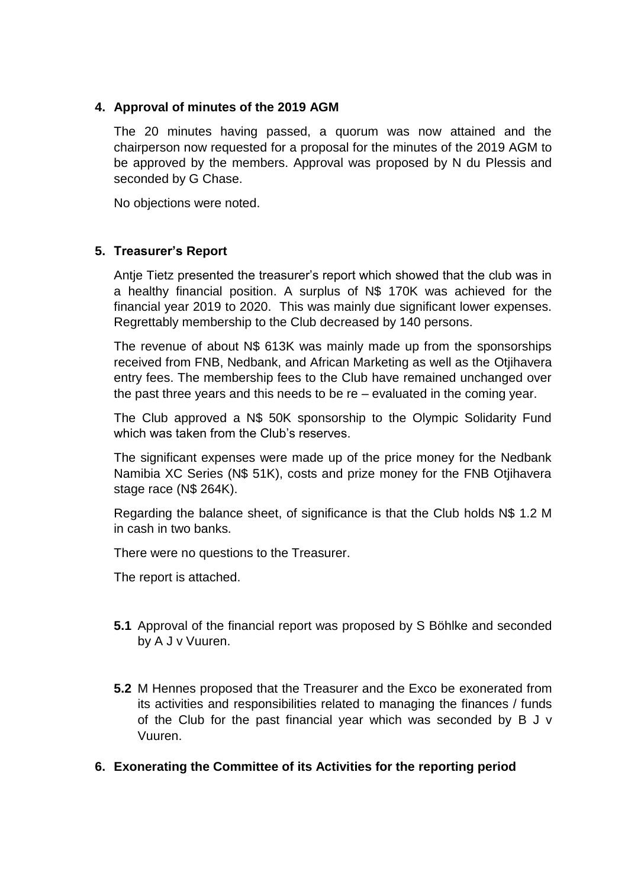## **4. Approval of minutes of the 2019 AGM**

The 20 minutes having passed, a quorum was now attained and the chairperson now requested for a proposal for the minutes of the 2019 AGM to be approved by the members. Approval was proposed by N du Plessis and seconded by G Chase.

No objections were noted.

## **5. Treasurer's Report**

Antje Tietz presented the treasurer's report which showed that the club was in a healthy financial position. A surplus of N\$ 170K was achieved for the financial year 2019 to 2020. This was mainly due significant lower expenses. Regrettably membership to the Club decreased by 140 persons.

The revenue of about N\$ 613K was mainly made up from the sponsorships received from FNB, Nedbank, and African Marketing as well as the Otjihavera entry fees. The membership fees to the Club have remained unchanged over the past three years and this needs to be re – evaluated in the coming year.

The Club approved a N\$ 50K sponsorship to the Olympic Solidarity Fund which was taken from the Club's reserves.

The significant expenses were made up of the price money for the Nedbank Namibia XC Series (N\$ 51K), costs and prize money for the FNB Otjihavera stage race (N\$ 264K).

Regarding the balance sheet, of significance is that the Club holds N\$ 1.2 M in cash in two banks.

There were no questions to the Treasurer.

The report is attached.

- **5.1** Approval of the financial report was proposed by S Böhlke and seconded by A J v Vuuren.
- **5.2** M Hennes proposed that the Treasurer and the Exco be exonerated from its activities and responsibilities related to managing the finances / funds of the Club for the past financial year which was seconded by B J v Vuuren.
- **6. Exonerating the Committee of its Activities for the reporting period**